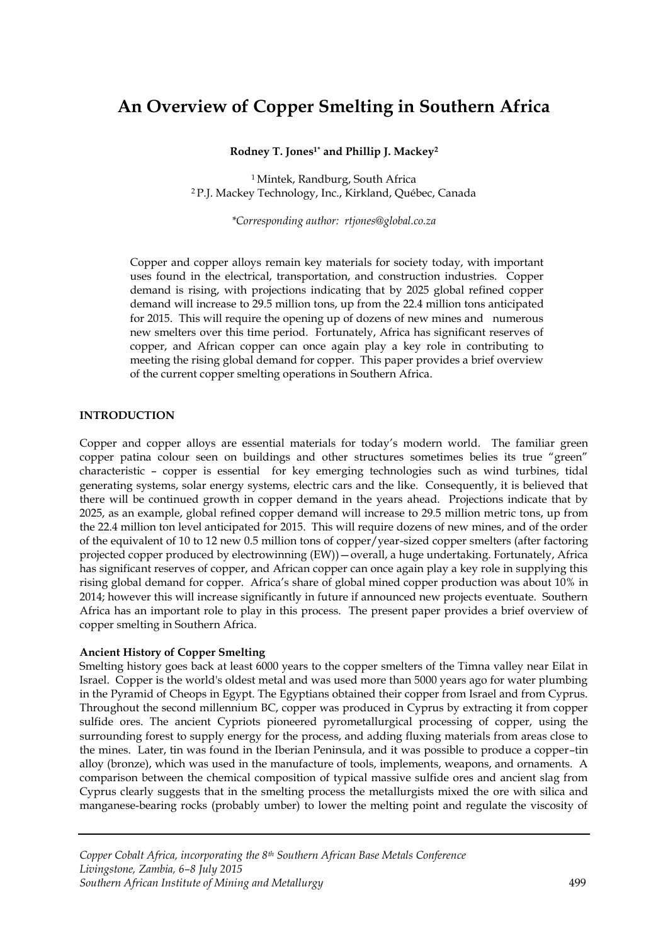# **An Overview of Copper Smelting in Southern Africa**

**Rodney T. Jones1\* and Phillip J. Mackey<sup>2</sup>**

<sup>1</sup> Mintek, Randburg, South Africa <sup>2</sup> P.J. Mackey Technology, Inc., Kirkland, Québec, Canada

*\*Corresponding author: rtjones@global.co.za*

Copper and copper alloys remain key materials for society today, with important uses found in the electrical, transportation, and construction industries. Copper demand is rising, with projections indicating that by 2025 global refined copper demand will increase to 29.5 million tons, up from the 22.4 million tons anticipated for 2015. This will require the opening up of dozens of new mines and numerous new smelters over this time period. Fortunately, Africa has significant reserves of copper, and African copper can once again play a key role in contributing to meeting the rising global demand for copper. This paper provides a brief overview of the current copper smelting operations in Southern Africa.

# **INTRODUCTION**

Copper and copper alloys are essential materials for today's modern world. The familiar green copper patina colour seen on buildings and other structures sometimes belies its true "green" characteristic – copper is essential for key emerging technologies such as wind turbines, tidal generating systems, solar energy systems, electric cars and the like. Consequently, it is believed that there will be continued growth in copper demand in the years ahead. Projections indicate that by 2025, as an example, global refined copper demand will increase to 29.5 million metric tons, up from the 22.4 million ton level anticipated for 2015. This will require dozens of new mines, and of the order of the equivalent of 10 to 12 new 0.5 million tons of copper/year-sized copper smelters (after factoring projected copper produced by electrowinning (EW))—overall, a huge undertaking. Fortunately, Africa has significant reserves of copper, and African copper can once again play a key role in supplying this rising global demand for copper. Africa's share of global mined copper production was about 10% in 2014; however this will increase significantly in future if announced new projects eventuate. Southern Africa has an important role to play in this process. The present paper provides a brief overview of copper smelting in Southern Africa.

# **Ancient History of Copper Smelting**

Smelting history goes back at least 6000 years to the copper smelters of the Timna valley near Eilat in Israel. Copper is the world's oldest metal and was used more than 5000 years ago for water plumbing in the Pyramid of Cheops in Egypt. The Egyptians obtained their copper from Israel and from Cyprus. Throughout the second millennium BC, copper was produced in Cyprus by extracting it from copper sulfide ores. The ancient Cypriots pioneered pyrometallurgical processing of copper, using the surrounding forest to supply energy for the process, and adding fluxing materials from areas close to the mines. Later, tin was found in the Iberian Peninsula, and it was possible to produce a copper–tin alloy (bronze), which was used in the manufacture of tools, implements, weapons, and ornaments. A comparison between the chemical composition of typical massive sulfide ores and ancient slag from Cyprus clearly suggests that in the smelting process the metallurgists mixed the ore with silica and manganese-bearing rocks (probably umber) to lower the melting point and regulate the viscosity of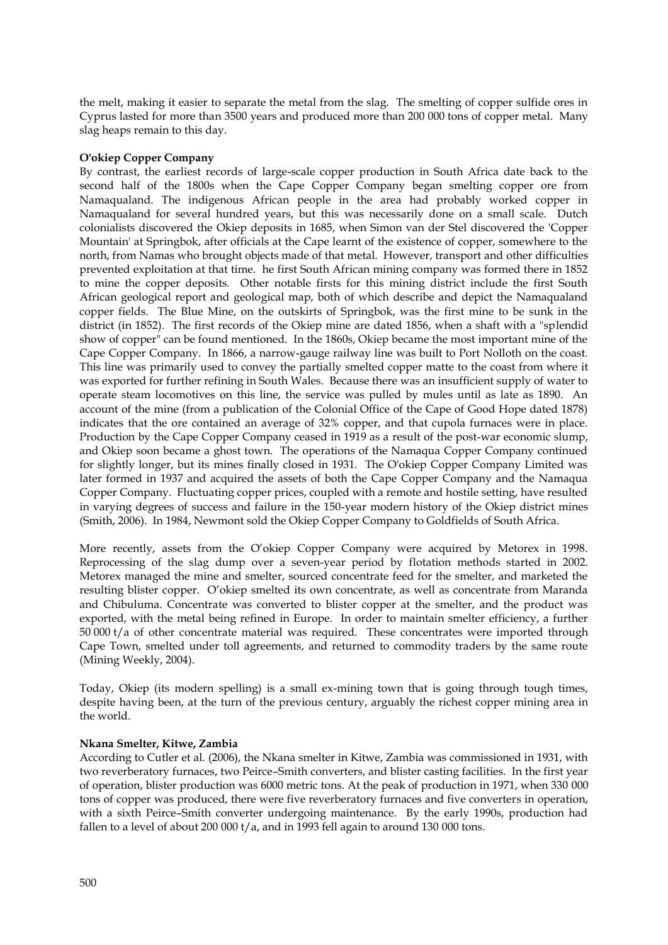the melt, making it easier to separate the metal from the slag. The smelting of copper sulfide ores in Cyprus lasted for more than 3500 years and produced more than 200 000 tons of copper metal. Many slag heaps remain to this day.

## **O'okiep Copper Company**

By contrast, the earliest records of large-scale copper production in South Africa date back to the second half of the 1800s when the Cape Copper Company began smelting copper ore from Namaqualand. The indigenous African people in the area had probably worked copper in Namaqualand for several hundred years, but this was necessarily done on a small scale. Dutch colonialists discovered the Okiep deposits in 1685, when Simon van der Stel discovered the 'Copper Mountain' at Springbok, after officials at the Cape learnt of the existence of copper, somewhere to the north, from Namas who brought objects made of that metal. However, transport and other difficulties prevented exploitation at that time. he first South African mining company was formed there in 1852 to mine the copper deposits. Other notable firsts for this mining district include the first South African geological report and geological map, both of which describe and depict the Namaqualand copper fields. The Blue Mine, on the outskirts of Springbok, was the first mine to be sunk in the district (in 1852). The first records of the Okiep mine are dated 1856, when a shaft with a "splendid show of copper" can be found mentioned. In the 1860s, Okiep became the most important mine of the Cape Copper Company. In 1866, a narrow-gauge railway line was built to Port Nolloth on the coast. This line was primarily used to convey the partially smelted copper matte to the coast from where it was exported for further refining in South Wales. Because there was an insufficient supply of water to operate steam locomotives on this line, the service was pulled by mules until as late as 1890. An account of the mine (from a publication of the Colonial Office of the Cape of Good Hope dated 1878) indicates that the ore contained an average of 32% copper, and that cupola furnaces were in place. Production by the Cape Copper Company ceased in 1919 as a result of the post-war economic slump, and Okiep soon became a ghost town. The operations of the Namaqua Copper Company continued for slightly longer, but its mines finally closed in 1931. The O'okiep Copper Company Limited was later formed in 1937 and acquired the assets of both the Cape Copper Company and the Namaqua Copper Company. Fluctuating copper prices, coupled with a remote and hostile setting, have resulted in varying degrees of success and failure in the 150-year modern history of the Okiep district mines (Smith, 2006). In 1984, Newmont sold the Okiep Copper Company to Goldfields of South Africa.

More recently, assets from the O'okiep Copper Company were acquired by Metorex in 1998. Reprocessing of the slag dump over a seven-year period by flotation methods started in 2002. Metorex managed the mine and smelter, sourced concentrate feed for the smelter, and marketed the resulting blister copper. O'okiep smelted its own concentrate, as well as concentrate from Maranda and Chibuluma. Concentrate was converted to blister copper at the smelter, and the product was exported, with the metal being refined in Europe. In order to maintain smelter efficiency, a further 50 000 t/a of other concentrate material was required. These concentrates were imported through Cape Town, smelted under toll agreements, and returned to commodity traders by the same route (Mining Weekly, 2004).

Today, Okiep (its modern spelling) is a small ex-mining town that is going through tough times, despite having been, at the turn of the previous century, arguably the richest copper mining area in the world.

## **Nkana Smelter, Kitwe, Zambia**

According to Cutler et al*.* (2006), the Nkana smelter in Kitwe, Zambia was commissioned in 1931, with two reverberatory furnaces, two Peirce–Smith converters, and blister casting facilities. In the first year of operation, blister production was 6000 metric tons. At the peak of production in 1971, when 330 000 tons of copper was produced, there were five reverberatory furnaces and five converters in operation, with a sixth Peirce–Smith converter undergoing maintenance. By the early 1990s, production had fallen to a level of about 200 000 t/a, and in 1993 fell again to around 130 000 tons.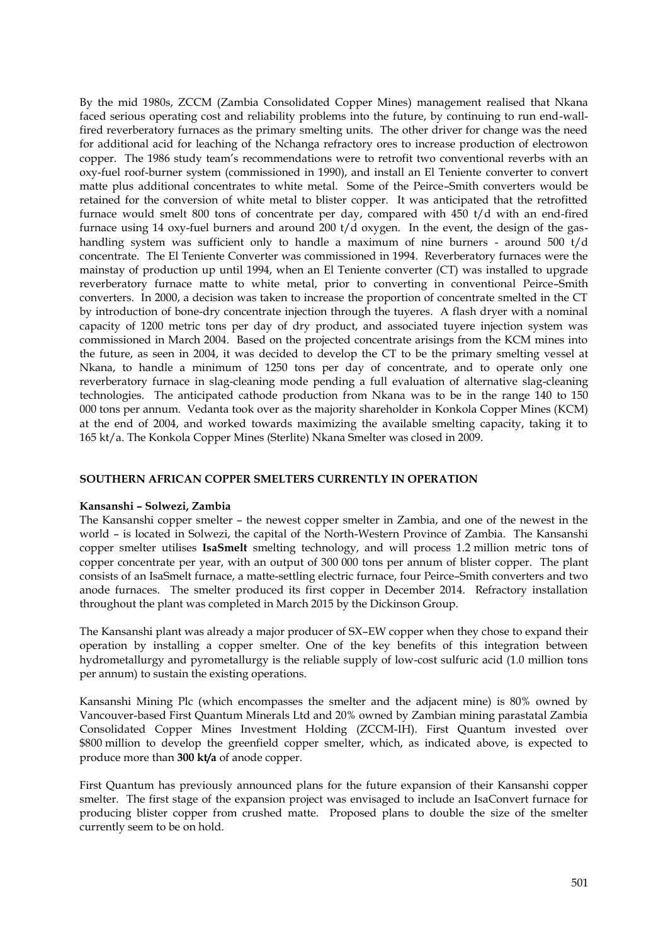By the mid 1980s, ZCCM (Zambia Consolidated Copper Mines) management realised that Nkana faced serious operating cost and reliability problems into the future, by continuing to run end-wallfired reverberatory furnaces as the primary smelting units. The other driver for change was the need for additional acid for leaching of the Nchanga refractory ores to increase production of electrowon copper. The 1986 study team's recommendations were to retrofit two conventional reverbs with an oxy-fuel roof-burner system (commissioned in 1990), and install an El Teniente converter to convert matte plus additional concentrates to white metal. Some of the Peirce–Smith converters would be retained for the conversion of white metal to blister copper. It was anticipated that the retrofitted furnace would smelt 800 tons of concentrate per day, compared with 450 t/d with an end-fired furnace using 14 oxy-fuel burners and around 200 t/d oxygen. In the event, the design of the gashandling system was sufficient only to handle a maximum of nine burners - around 500 t/d concentrate. The El Teniente Converter was commissioned in 1994. Reverberatory furnaces were the mainstay of production up until 1994, when an El Teniente converter (CT) was installed to upgrade reverberatory furnace matte to white metal, prior to converting in conventional Peirce–Smith converters. In 2000, a decision was taken to increase the proportion of concentrate smelted in the CT by introduction of bone-dry concentrate injection through the tuyeres. A flash dryer with a nominal capacity of 1200 metric tons per day of dry product, and associated tuyere injection system was commissioned in March 2004. Based on the projected concentrate arisings from the KCM mines into the future, as seen in 2004, it was decided to develop the CT to be the primary smelting vessel at Nkana, to handle a minimum of 1250 tons per day of concentrate, and to operate only one reverberatory furnace in slag-cleaning mode pending a full evaluation of alternative slag-cleaning technologies. The anticipated cathode production from Nkana was to be in the range 140 to 150 000 tons per annum. Vedanta took over as the majority shareholder in Konkola Copper Mines (KCM) at the end of 2004, and worked towards maximizing the available smelting capacity, taking it to 165 kt/a. The Konkola Copper Mines (Sterlite) Nkana Smelter was closed in 2009.

## **SOUTHERN AFRICAN COPPER SMELTERS CURRENTLY IN OPERATION**

## **Kansanshi – Solwezi, Zambia**

The Kansanshi copper smelter – the newest copper smelter in Zambia, and one of the newest in the world – is located in Solwezi, the capital of the North-Western Province of Zambia. The Kansanshi copper smelter utilises **IsaSmelt** smelting technology, and will process 1.2 million metric tons of copper concentrate per year, with an output of 300 000 tons per annum of blister copper. The plant consists of an IsaSmelt furnace, a matte-settling electric furnace, four Peirce–Smith converters and two anode furnaces. The smelter produced its first copper in December 2014. Refractory installation throughout the plant was completed in March 2015 by the Dickinson Group.

The Kansanshi plant was already a major producer of SX–EW copper when they chose to expand their operation by installing a copper smelter. One of the key benefits of this integration between hydrometallurgy and pyrometallurgy is the reliable supply of low-cost sulfuric acid (1.0 million tons per annum) to sustain the existing operations.

Kansanshi Mining Plc (which encompasses the smelter and the adjacent mine) is 80% owned by Vancouver-based First Quantum Minerals Ltd and 20% owned by Zambian mining parastatal Zambia Consolidated Copper Mines Investment Holding (ZCCM-IH). First Quantum invested over \$800 million to develop the greenfield copper smelter, which, as indicated above, is expected to produce more than **300 kt/a** of anode copper.

First Quantum has previously announced plans for the future expansion of their Kansanshi copper smelter. The first stage of the expansion project was envisaged to include an IsaConvert furnace for producing blister copper from crushed matte. Proposed plans to double the size of the smelter currently seem to be on hold.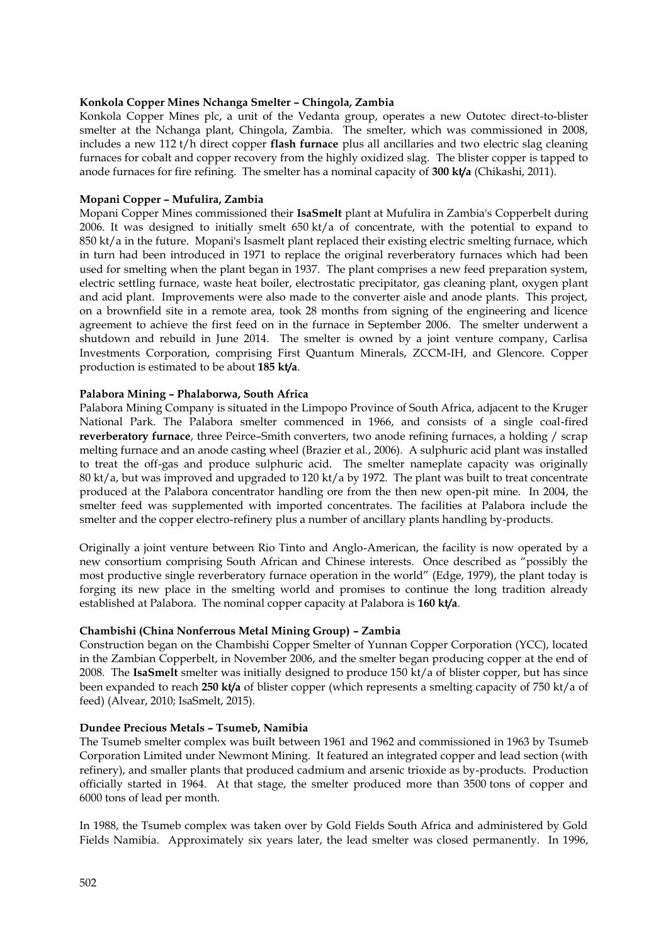## **Konkola Copper Mines Nchanga Smelter – Chingola, Zambia**

Konkola Copper Mines plc, a unit of the Vedanta group, operates a new Outotec direct-to-blister smelter at the Nchanga plant, Chingola, Zambia. The smelter, which was commissioned in 2008, includes a new 112 t/h direct copper **flash furnace** plus all ancillaries and two electric slag cleaning furnaces for cobalt and copper recovery from the highly oxidized slag. The blister copper is tapped to anode furnaces for fire refining. The smelter has a nominal capacity of **300 kt/a** (Chikashi, 2011).

## **Mopani Copper – Mufulira, Zambia**

Mopani Copper Mines commissioned their **IsaSmelt** plant at Mufulira in Zambia's Copperbelt during 2006. It was designed to initially smelt 650 kt/a of concentrate, with the potential to expand to 850 kt/a in the future. Mopani's Isasmelt plant replaced their existing electric smelting furnace, which in turn had been introduced in 1971 to replace the original reverberatory furnaces which had been used for smelting when the plant began in 1937. The plant comprises a new feed preparation system, electric settling furnace, waste heat boiler, electrostatic precipitator, gas cleaning plant, oxygen plant and acid plant. Improvements were also made to the converter aisle and anode plants. This project, on a brownfield site in a remote area, took 28 months from signing of the engineering and licence agreement to achieve the first feed on in the furnace in September 2006. The smelter underwent a shutdown and rebuild in June 2014. The smelter is owned by a joint venture company, Carlisa Investments Corporation, comprising First Quantum Minerals, ZCCM-IH, and Glencore. Copper production is estimated to be about **185 kt/a**.

## **Palabora Mining – Phalaborwa, South Africa**

Palabora Mining Company is situated in the Limpopo Province of South Africa, adjacent to the Kruger National Park. The Palabora smelter commenced in 1966, and consists of a single coal-fired **reverberatory furnace**, three Peirce–Smith converters, two anode refining furnaces, a holding / scrap melting furnace and an anode casting wheel (Brazier et al*.*, 2006). A sulphuric acid plant was installed to treat the off-gas and produce sulphuric acid. The smelter nameplate capacity was originally 80 kt/a, but was improved and upgraded to 120 kt/a by 1972. The plant was built to treat concentrate produced at the Palabora concentrator handling ore from the then new open-pit mine. In 2004, the smelter feed was supplemented with imported concentrates. The facilities at Palabora include the smelter and the copper electro-refinery plus a number of ancillary plants handling by-products.

Originally a joint venture between Rio Tinto and Anglo-American, the facility is now operated by a new consortium comprising South African and Chinese interests. Once described as "possibly the most productive single reverberatory furnace operation in the world" (Edge, 1979), the plant today is forging its new place in the smelting world and promises to continue the long tradition already established at Palabora. The nominal copper capacity at Palabora is **160 kt/a**.

# **Chambishi (China Nonferrous Metal Mining Group) – Zambia**

Construction began on the Chambishi Copper Smelter of Yunnan Copper Corporation (YCC), located in the Zambian Copperbelt, in November 2006, and the smelter began producing copper at the end of 2008. The **IsaSmelt** smelter was initially designed to produce 150 kt/a of blister copper, but has since been expanded to reach **250 kt/a** of blister copper (which represents a smelting capacity of 750 kt/a of feed) (Alvear, 2010; IsaSmelt, 2015).

## **Dundee Precious Metals – Tsumeb, Namibia**

The Tsumeb smelter complex was built between 1961 and 1962 and commissioned in 1963 by Tsumeb Corporation Limited under Newmont Mining. It featured an integrated copper and lead section (with refinery), and smaller plants that produced cadmium and arsenic trioxide as by-products. Production officially started in 1964. At that stage, the smelter produced more than 3500 tons of copper and 6000 tons of lead per month.

In 1988, the Tsumeb complex was taken over by Gold Fields South Africa and administered by Gold Fields Namibia. Approximately six years later, the lead smelter was closed permanently. In 1996,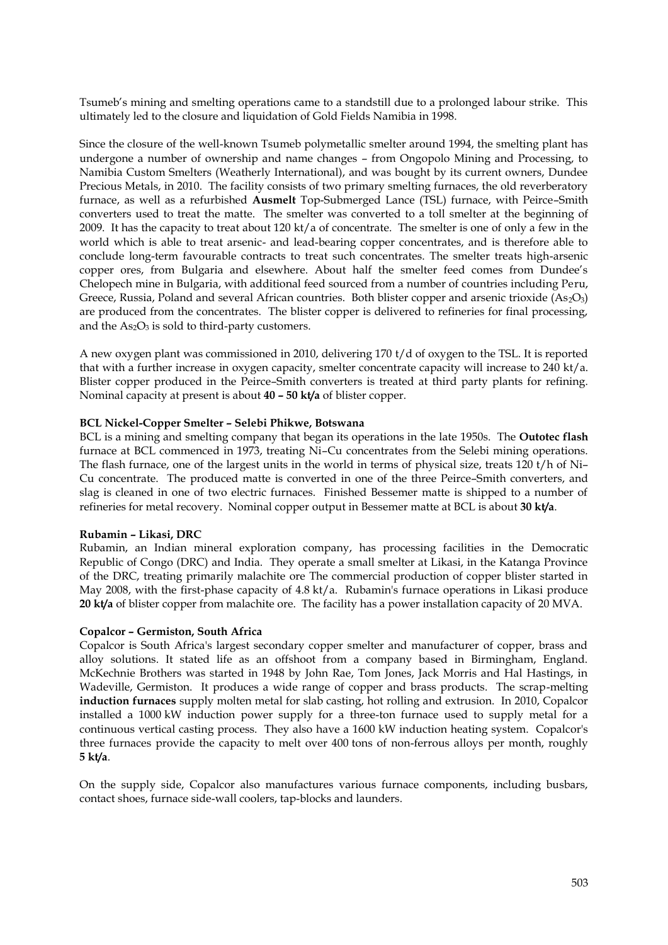Tsumeb's mining and smelting operations came to a standstill due to a prolonged labour strike. This ultimately led to the closure and liquidation of Gold Fields Namibia in 1998.

Since the closure of the well-known Tsumeb polymetallic smelter around 1994, the smelting plant has undergone a number of ownership and name changes – from Ongopolo Mining and Processing, to Namibia Custom Smelters (Weatherly International), and was bought by its current owners, Dundee Precious Metals, in 2010. The facility consists of two primary smelting furnaces, the old reverberatory furnace, as well as a refurbished **Ausmelt** Top-Submerged Lance (TSL) furnace, with Peirce–Smith converters used to treat the matte. The smelter was converted to a toll smelter at the beginning of 2009. It has the capacity to treat about 120 kt/a of concentrate. The smelter is one of only a few in the world which is able to treat arsenic- and lead-bearing copper concentrates, and is therefore able to conclude long-term favourable contracts to treat such concentrates. The smelter treats high-arsenic copper ores, from Bulgaria and elsewhere. About half the smelter feed comes from Dundee's Chelopech mine in Bulgaria, with additional feed sourced from a number of countries including Peru, Greece, Russia, Poland and several African countries. Both blister copper and arsenic trioxide (As<sub>2</sub>O<sub>3</sub>) are produced from the concentrates. The blister copper is delivered to refineries for final processing, and the  $As<sub>2</sub>O<sub>3</sub>$  is sold to third-party customers.

A new oxygen plant was commissioned in 2010, delivering 170 t/d of oxygen to the TSL. It is reported that with a further increase in oxygen capacity, smelter concentrate capacity will increase to 240 kt/a. Blister copper produced in the Peirce–Smith converters is treated at third party plants for refining. Nominal capacity at present is about **40 – 50 kt/a** of blister copper.

## **BCL Nickel-Copper Smelter – Selebi Phikwe, Botswana**

BCL is a mining and smelting company that began its operations in the late 1950s. The **Outotec flash** furnace at BCL commenced in 1973, treating Ni–Cu concentrates from the Selebi mining operations. The flash furnace, one of the largest units in the world in terms of physical size, treats 120 t/h of Ni– Cu concentrate. The produced matte is converted in one of the three Peirce–Smith converters, and slag is cleaned in one of two electric furnaces. Finished Bessemer matte is shipped to a number of refineries for metal recovery. Nominal copper output in Bessemer matte at BCL is about **30 kt/a**.

## **Rubamin – Likasi, DRC**

Rubamin, an Indian mineral exploration company, has processing facilities in the Democratic Republic of Congo (DRC) and India. They operate a small smelter at Likasi, in the Katanga Province of the DRC, treating primarily malachite ore The commercial production of copper blister started in May 2008, with the first-phase capacity of 4.8 kt/a. Rubamin's furnace operations in Likasi produce **20 kt/a** of blister copper from malachite ore. The facility has a power installation capacity of 20 MVA.

## **Copalcor – Germiston, South Africa**

Copalcor is South Africa's largest secondary copper smelter and manufacturer of copper, brass and alloy solutions. It stated life as an offshoot from a company based in Birmingham, England. McKechnie Brothers was started in 1948 by John Rae, Tom Jones, Jack Morris and Hal Hastings, in Wadeville, Germiston. It produces a wide range of copper and brass products. The scrap-melting **induction furnaces** supply molten metal for slab casting, hot rolling and extrusion. In 2010, Copalcor installed a 1000 kW induction power supply for a three-ton furnace used to supply metal for a continuous vertical casting process. They also have a 1600 kW induction heating system. Copalcor's three furnaces provide the capacity to melt over 400 tons of non-ferrous alloys per month, roughly **5 kt/a**.

On the supply side, Copalcor also manufactures various furnace components, including busbars, contact shoes, furnace side-wall coolers, tap-blocks and launders.